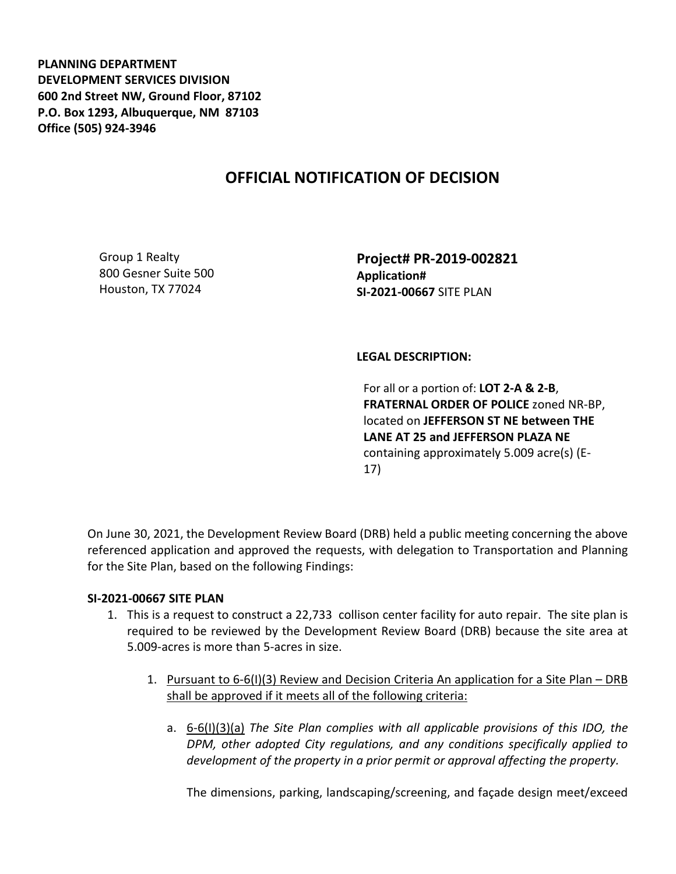**PLANNING DEPARTMENT DEVELOPMENT SERVICES DIVISION 600 2nd Street NW, Ground Floor, 87102 P.O. Box 1293, Albuquerque, NM 87103 Office (505) 924-3946** 

## **OFFICIAL NOTIFICATION OF DECISION**

Group 1 Realty 800 Gesner Suite 500 Houston, TX 77024

**Project# PR-2019-002821 Application# SI-2021-00667** SITE PLAN

## **LEGAL DESCRIPTION:**

For all or a portion of: **LOT 2-A & 2-B**, **FRATERNAL ORDER OF POLICE** zoned NR-BP, located on **JEFFERSON ST NE between THE LANE AT 25 and JEFFERSON PLAZA NE** containing approximately 5.009 acre(s) (E-17)

On June 30, 2021, the Development Review Board (DRB) held a public meeting concerning the above referenced application and approved the requests, with delegation to Transportation and Planning for the Site Plan, based on the following Findings:

## **SI-2021-00667 SITE PLAN**

- 1. This is a request to construct a 22,733 collison center facility for auto repair. The site plan is required to be reviewed by the Development Review Board (DRB) because the site area at 5.009-acres is more than 5-acres in size.
	- 1. Pursuant to 6-6(I)(3) Review and Decision Criteria An application for a Site Plan DRB shall be approved if it meets all of the following criteria:
		- a. 6-6(I)(3)(a) *The Site Plan complies with all applicable provisions of this IDO, the DPM, other adopted City regulations, and any conditions specifically applied to development of the property in a prior permit or approval affecting the property.*

The dimensions, parking, landscaping/screening, and façade design meet/exceed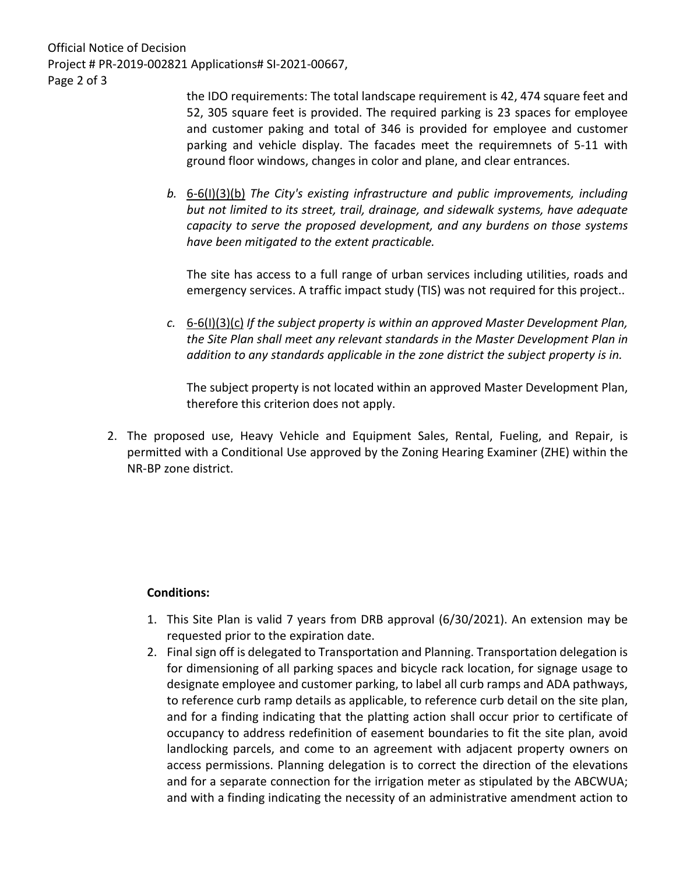Official Notice of Decision Project # PR-2019-002821 Applications# SI-2021-00667, Page 2 of 3

the IDO requirements: The total landscape requirement is 42, 474 square feet and 52, 305 square feet is provided. The required parking is 23 spaces for employee and customer paking and total of 346 is provided for employee and customer parking and vehicle display. The facades meet the requiremnets of 5-11 with ground floor windows, changes in color and plane, and clear entrances.

*b.* 6-6(I)(3)(b) *The City's existing infrastructure and public improvements, including but not limited to its street, trail, drainage, and sidewalk systems, have adequate capacity to serve the proposed development, and any burdens on those systems have been mitigated to the extent practicable.* 

The site has access to a full range of urban services including utilities, roads and emergency services. A traffic impact study (TIS) was not required for this project..

*c.* 6-6(I)(3)(c) *If the subject property is within an approved Master Development Plan, the Site Plan shall meet any relevant standards in the Master Development Plan in addition to any standards applicable in the zone district the subject property is in.*

The subject property is not located within an approved Master Development Plan, therefore this criterion does not apply.

2. The proposed use, Heavy Vehicle and Equipment Sales, Rental, Fueling, and Repair, is permitted with a Conditional Use approved by the Zoning Hearing Examiner (ZHE) within the NR-BP zone district.

## **Conditions:**

- 1. This Site Plan is valid 7 years from DRB approval (6/30/2021). An extension may be requested prior to the expiration date.
- 2. Final sign off is delegated to Transportation and Planning. Transportation delegation is for dimensioning of all parking spaces and bicycle rack location, for signage usage to designate employee and customer parking, to label all curb ramps and ADA pathways, to reference curb ramp details as applicable, to reference curb detail on the site plan, and for a finding indicating that the platting action shall occur prior to certificate of occupancy to address redefinition of easement boundaries to fit the site plan, avoid landlocking parcels, and come to an agreement with adjacent property owners on access permissions. Planning delegation is to correct the direction of the elevations and for a separate connection for the irrigation meter as stipulated by the ABCWUA; and with a finding indicating the necessity of an administrative amendment action to